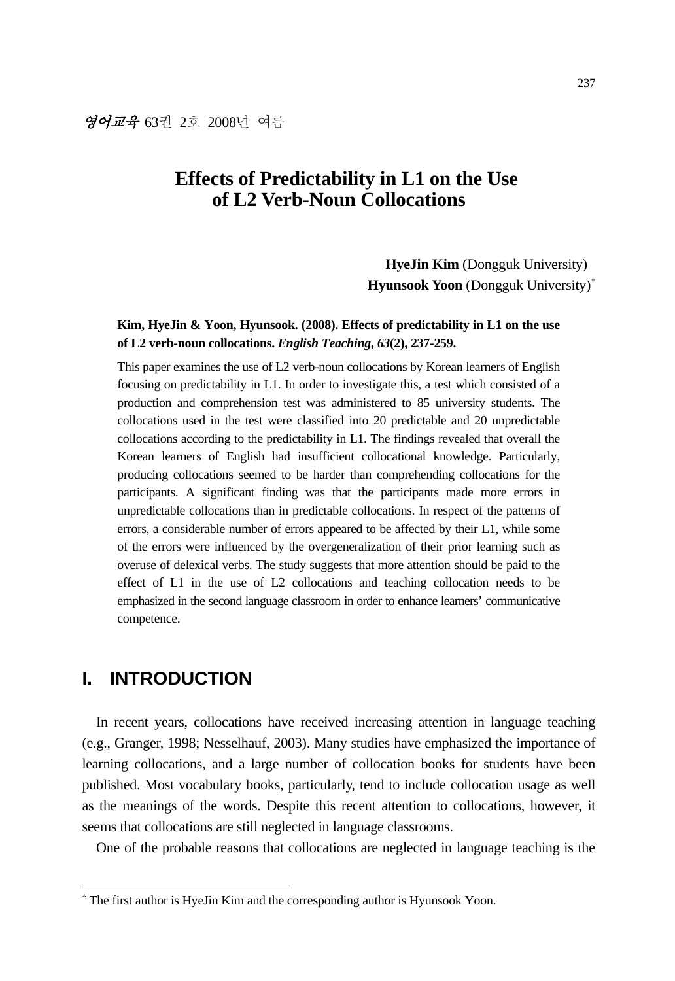# **Effects of Predictability in L1 on the Use of L2 Verb-Noun Collocations**

**HyeJin Kim** (Dongguk University) **Hyunsook Yoon** (Dongguk University)<sup>∗</sup>

## **Kim, HyeJin & Yoon, Hyunsook. (2008). Effects of predictability in L1 on the use of L2 verb-noun collocations.** *English Teaching***,** *63***(2), 237-259.**

This paper examines the use of L2 verb-noun collocations by Korean learners of English focusing on predictability in L1. In order to investigate this, a test which consisted of a production and comprehension test was administered to 85 university students. The collocations used in the test were classified into 20 predictable and 20 unpredictable collocations according to the predictability in L1. The findings revealed that overall the Korean learners of English had insufficient collocational knowledge. Particularly, producing collocations seemed to be harder than comprehending collocations for the participants. A significant finding was that the participants made more errors in unpredictable collocations than in predictable collocations. In respect of the patterns of errors, a considerable number of errors appeared to be affected by their L1, while some of the errors were influenced by the overgeneralization of their prior learning such as overuse of delexical verbs. The study suggests that more attention should be paid to the effect of L1 in the use of L2 collocations and teaching collocation needs to be emphasized in the second language classroom in order to enhance learners' communicative competence.

# **I. INTRODUCTION**

-

In recent years, collocations have received increasing attention in language teaching (e.g., Granger, 1998; Nesselhauf, 2003). Many studies have emphasized the importance of learning collocations, and a large number of collocation books for students have been published. Most vocabulary books, particularly, tend to include collocation usage as well as the meanings of the words. Despite this recent attention to collocations, however, it seems that collocations are still neglected in language classrooms.

One of the probable reasons that collocations are neglected in language teaching is the

<sup>∗</sup> The first author is HyeJin Kim and the corresponding author is Hyunsook Yoon.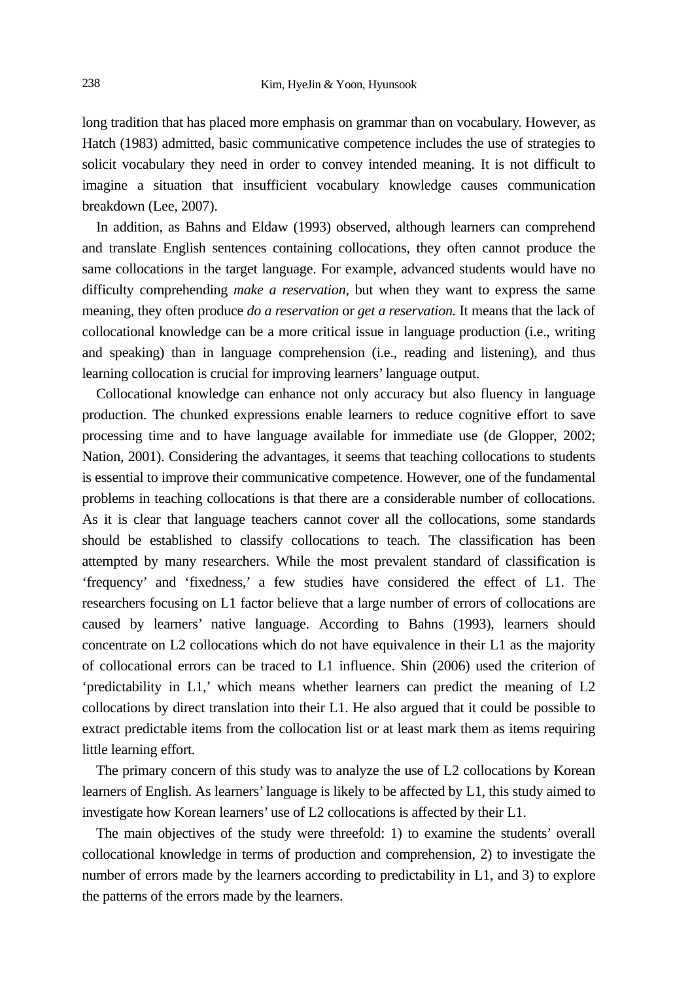long tradition that has placed more emphasis on grammar than on vocabulary. However, as Hatch (1983) admitted, basic communicative competence includes the use of strategies to solicit vocabulary they need in order to convey intended meaning. It is not difficult to imagine a situation that insufficient vocabulary knowledge causes communication breakdown (Lee, 2007).

In addition, as Bahns and Eldaw (1993) observed, although learners can comprehend and translate English sentences containing collocations, they often cannot produce the same collocations in the target language. For example, advanced students would have no difficulty comprehending *make a reservation,* but when they want to express the same meaning, they often produce *do a reservation* or *get a reservation.* It means that the lack of collocational knowledge can be a more critical issue in language production (i.e., writing and speaking) than in language comprehension (i.e., reading and listening), and thus learning collocation is crucial for improving learners' language output.

Collocational knowledge can enhance not only accuracy but also fluency in language production. The chunked expressions enable learners to reduce cognitive effort to save processing time and to have language available for immediate use (de Glopper, 2002; Nation, 2001). Considering the advantages, it seems that teaching collocations to students is essential to improve their communicative competence. However, one of the fundamental problems in teaching collocations is that there are a considerable number of collocations. As it is clear that language teachers cannot cover all the collocations, some standards should be established to classify collocations to teach. The classification has been attempted by many researchers. While the most prevalent standard of classification is 'frequency' and 'fixedness,' a few studies have considered the effect of L1. The researchers focusing on L1 factor believe that a large number of errors of collocations are caused by learners' native language. According to Bahns (1993), learners should concentrate on L2 collocations which do not have equivalence in their L1 as the majority of collocational errors can be traced to L1 influence. Shin (2006) used the criterion of 'predictability in L1,' which means whether learners can predict the meaning of L2 collocations by direct translation into their L1. He also argued that it could be possible to extract predictable items from the collocation list or at least mark them as items requiring little learning effort.

The primary concern of this study was to analyze the use of L2 collocations by Korean learners of English. As learners' language is likely to be affected by L1, this study aimed to investigate how Korean learners' use of L2 collocations is affected by their L1.

The main objectives of the study were threefold: 1) to examine the students' overall collocational knowledge in terms of production and comprehension, 2) to investigate the number of errors made by the learners according to predictability in L1, and 3) to explore the patterns of the errors made by the learners.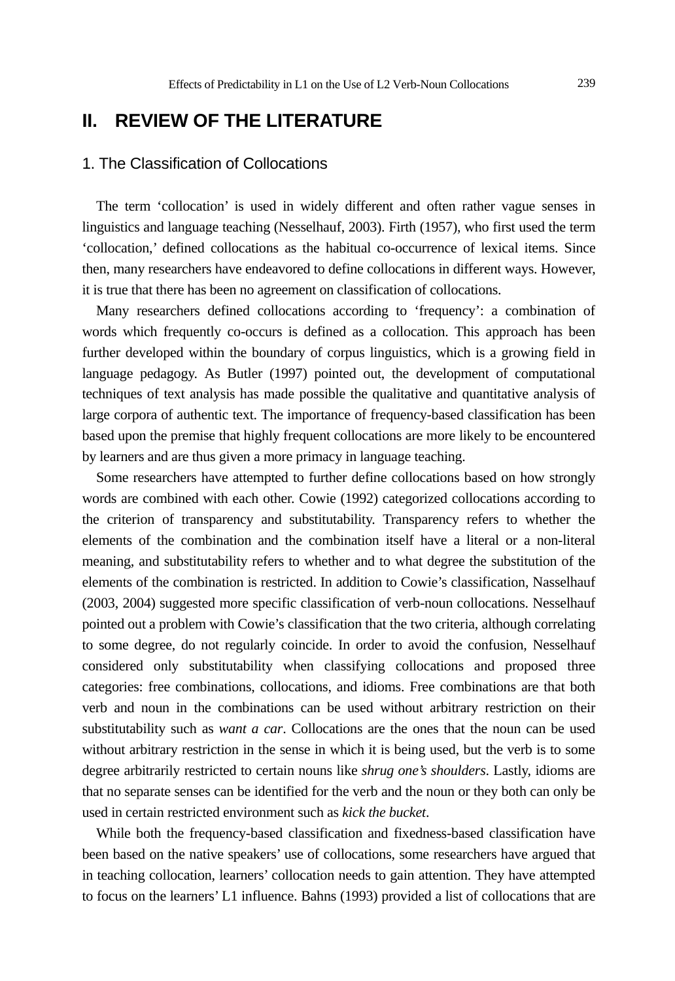# **II. REVIEW OF THE LITERATURE**

## 1. The Classification of Collocations

The term 'collocation' is used in widely different and often rather vague senses in linguistics and language teaching (Nesselhauf, 2003). Firth (1957), who first used the term 'collocation,' defined collocations as the habitual co-occurrence of lexical items. Since then, many researchers have endeavored to define collocations in different ways. However, it is true that there has been no agreement on classification of collocations.

Many researchers defined collocations according to 'frequency': a combination of words which frequently co-occurs is defined as a collocation. This approach has been further developed within the boundary of corpus linguistics, which is a growing field in language pedagogy. As Butler (1997) pointed out, the development of computational techniques of text analysis has made possible the qualitative and quantitative analysis of large corpora of authentic text. The importance of frequency-based classification has been based upon the premise that highly frequent collocations are more likely to be encountered by learners and are thus given a more primacy in language teaching.

Some researchers have attempted to further define collocations based on how strongly words are combined with each other. Cowie (1992) categorized collocations according to the criterion of transparency and substitutability. Transparency refers to whether the elements of the combination and the combination itself have a literal or a non-literal meaning, and substitutability refers to whether and to what degree the substitution of the elements of the combination is restricted. In addition to Cowie's classification, Nasselhauf (2003, 2004) suggested more specific classification of verb-noun collocations. Nesselhauf pointed out a problem with Cowie's classification that the two criteria, although correlating to some degree, do not regularly coincide. In order to avoid the confusion, Nesselhauf considered only substitutability when classifying collocations and proposed three categories: free combinations, collocations, and idioms. Free combinations are that both verb and noun in the combinations can be used without arbitrary restriction on their substitutability such as *want a car*. Collocations are the ones that the noun can be used without arbitrary restriction in the sense in which it is being used, but the verb is to some degree arbitrarily restricted to certain nouns like *shrug one's shoulders*. Lastly, idioms are that no separate senses can be identified for the verb and the noun or they both can only be used in certain restricted environment such as *kick the bucket*.

While both the frequency-based classification and fixedness-based classification have been based on the native speakers' use of collocations, some researchers have argued that in teaching collocation, learners' collocation needs to gain attention. They have attempted to focus on the learners' L1 influence. Bahns (1993) provided a list of collocations that are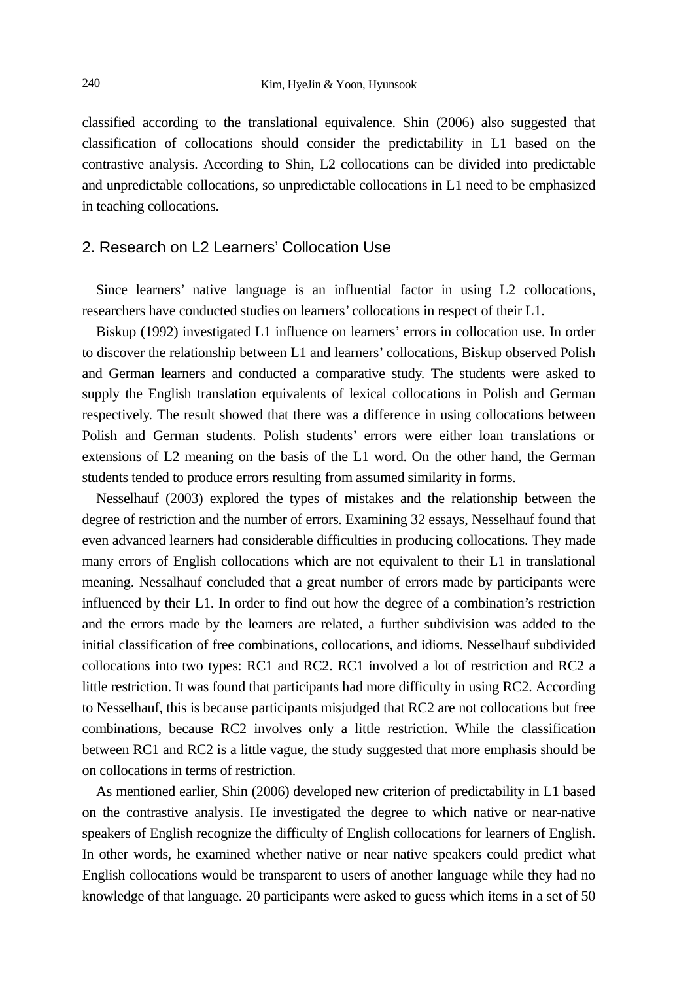classified according to the translational equivalence. Shin (2006) also suggested that classification of collocations should consider the predictability in L1 based on the contrastive analysis. According to Shin, L2 collocations can be divided into predictable and unpredictable collocations, so unpredictable collocations in L1 need to be emphasized in teaching collocations.

## 2. Research on L2 Learners' Collocation Use

Since learners' native language is an influential factor in using L2 collocations, researchers have conducted studies on learners' collocations in respect of their L1.

Biskup (1992) investigated L1 influence on learners' errors in collocation use. In order to discover the relationship between L1 and learners' collocations, Biskup observed Polish and German learners and conducted a comparative study. The students were asked to supply the English translation equivalents of lexical collocations in Polish and German respectively. The result showed that there was a difference in using collocations between Polish and German students. Polish students' errors were either loan translations or extensions of L2 meaning on the basis of the L1 word. On the other hand, the German students tended to produce errors resulting from assumed similarity in forms.

Nesselhauf (2003) explored the types of mistakes and the relationship between the degree of restriction and the number of errors. Examining 32 essays, Nesselhauf found that even advanced learners had considerable difficulties in producing collocations. They made many errors of English collocations which are not equivalent to their L1 in translational meaning. Nessalhauf concluded that a great number of errors made by participants were influenced by their L1. In order to find out how the degree of a combination's restriction and the errors made by the learners are related, a further subdivision was added to the initial classification of free combinations, collocations, and idioms. Nesselhauf subdivided collocations into two types: RC1 and RC2. RC1 involved a lot of restriction and RC2 a little restriction. It was found that participants had more difficulty in using RC2. According to Nesselhauf, this is because participants misjudged that RC2 are not collocations but free combinations, because RC2 involves only a little restriction. While the classification between RC1 and RC2 is a little vague, the study suggested that more emphasis should be on collocations in terms of restriction.

As mentioned earlier, Shin (2006) developed new criterion of predictability in L1 based on the contrastive analysis. He investigated the degree to which native or near-native speakers of English recognize the difficulty of English collocations for learners of English. In other words, he examined whether native or near native speakers could predict what English collocations would be transparent to users of another language while they had no knowledge of that language. 20 participants were asked to guess which items in a set of 50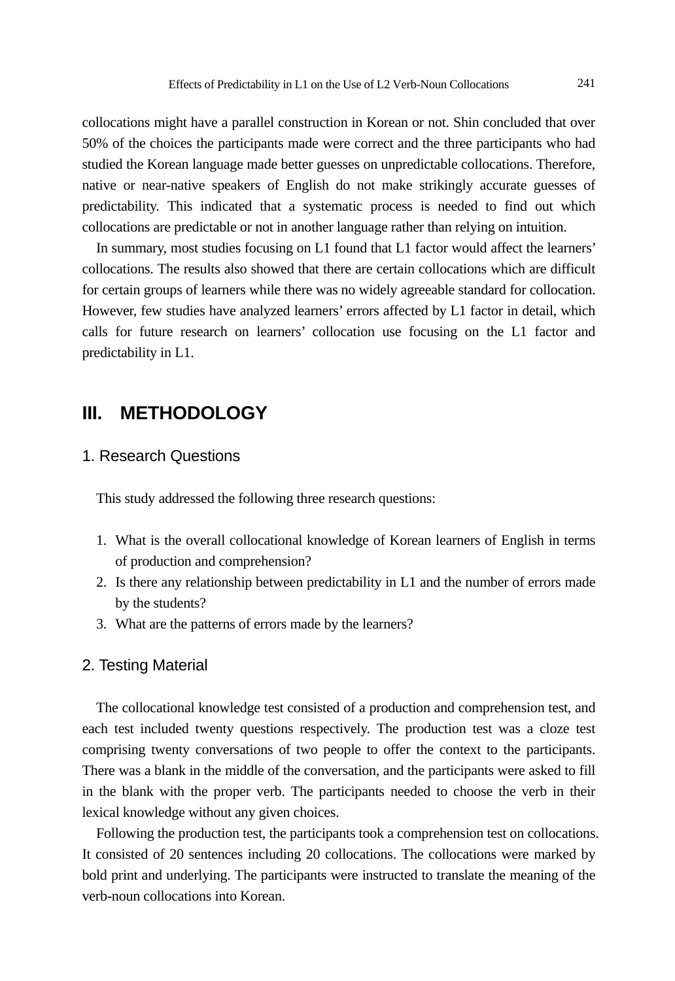collocations might have a parallel construction in Korean or not. Shin concluded that over 50% of the choices the participants made were correct and the three participants who had studied the Korean language made better guesses on unpredictable collocations. Therefore, native or near-native speakers of English do not make strikingly accurate guesses of predictability. This indicated that a systematic process is needed to find out which collocations are predictable or not in another language rather than relying on intuition.

In summary, most studies focusing on L1 found that L1 factor would affect the learners' collocations. The results also showed that there are certain collocations which are difficult for certain groups of learners while there was no widely agreeable standard for collocation. However, few studies have analyzed learners' errors affected by L1 factor in detail, which calls for future research on learners' collocation use focusing on the L1 factor and predictability in L1.

# **III. METHODOLOGY**

## 1. Research Questions

This study addressed the following three research questions:

- 1. What is the overall collocational knowledge of Korean learners of English in terms of production and comprehension?
- 2. Is there any relationship between predictability in L1 and the number of errors made by the students?
- 3. What are the patterns of errors made by the learners?

#### 2. Testing Material

The collocational knowledge test consisted of a production and comprehension test, and each test included twenty questions respectively. The production test was a cloze test comprising twenty conversations of two people to offer the context to the participants. There was a blank in the middle of the conversation, and the participants were asked to fill in the blank with the proper verb. The participants needed to choose the verb in their lexical knowledge without any given choices.

Following the production test, the participants took a comprehension test on collocations. It consisted of 20 sentences including 20 collocations. The collocations were marked by bold print and underlying. The participants were instructed to translate the meaning of the verb-noun collocations into Korean.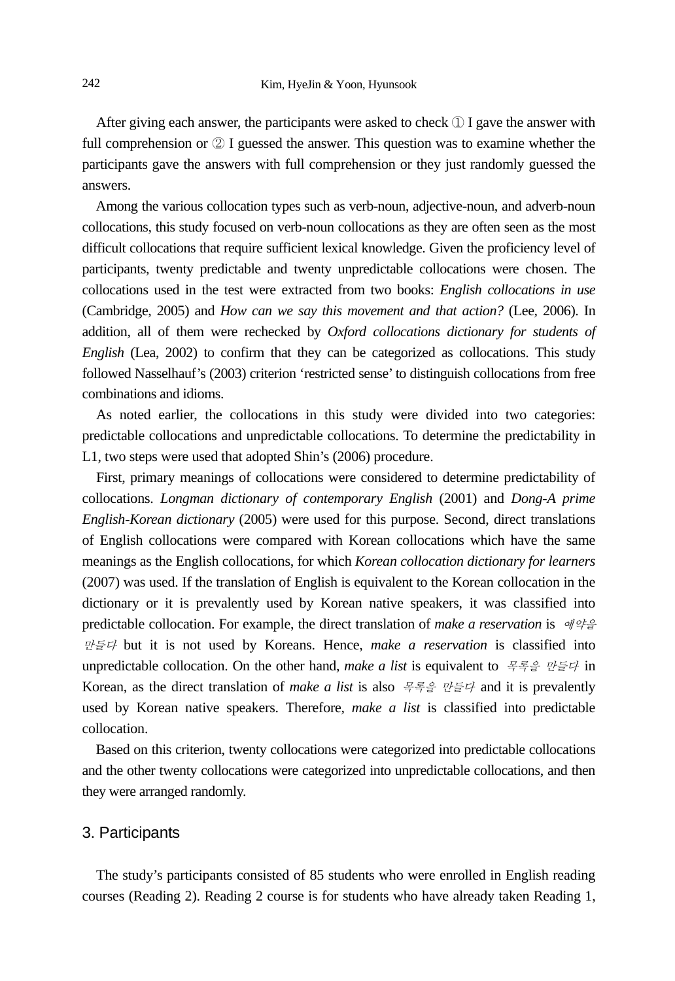After giving each answer, the participants were asked to check ① I gave the answer with full comprehension or ② I guessed the answer. This question was to examine whether the participants gave the answers with full comprehension or they just randomly guessed the answers.

Among the various collocation types such as verb-noun, adjective-noun, and adverb-noun collocations, this study focused on verb-noun collocations as they are often seen as the most difficult collocations that require sufficient lexical knowledge. Given the proficiency level of participants, twenty predictable and twenty unpredictable collocations were chosen. The collocations used in the test were extracted from two books: *English collocations in use* (Cambridge, 2005) and *How can we say this movement and that action?* (Lee, 2006). In addition, all of them were rechecked by *Oxford collocations dictionary for students of English* (Lea, 2002) to confirm that they can be categorized as collocations. This study followed Nasselhauf's (2003) criterion 'restricted sense' to distinguish collocations from free combinations and idioms.

As noted earlier, the collocations in this study were divided into two categories: predictable collocations and unpredictable collocations. To determine the predictability in L1, two steps were used that adopted Shin's (2006) procedure.

First, primary meanings of collocations were considered to determine predictability of collocations. *Longman dictionary of contemporary English* (2001) and *Dong-A prime English-Korean dictionary* (2005) were used for this purpose. Second, direct translations of English collocations were compared with Korean collocations which have the same meanings as the English collocations, for which *Korean collocation dictionary for learners* (2007) was used. If the translation of English is equivalent to the Korean collocation in the dictionary or it is prevalently used by Korean native speakers, it was classified into predictable collocation. For example, the direct translation of *make a reservation* is 예약을 만들다 but it is not used by Koreans. Hence, *make a reservation* is classified into unpredictable collocation. On the other hand, *make a list* is equivalent to 목록을 만들다 in Korean, as the direct translation of *make a list* is also 목록을 만들다 and it is prevalently used by Korean native speakers. Therefore, *make a list* is classified into predictable collocation.

Based on this criterion, twenty collocations were categorized into predictable collocations and the other twenty collocations were categorized into unpredictable collocations, and then they were arranged randomly.

#### 3. Participants

The study's participants consisted of 85 students who were enrolled in English reading courses (Reading 2). Reading 2 course is for students who have already taken Reading 1,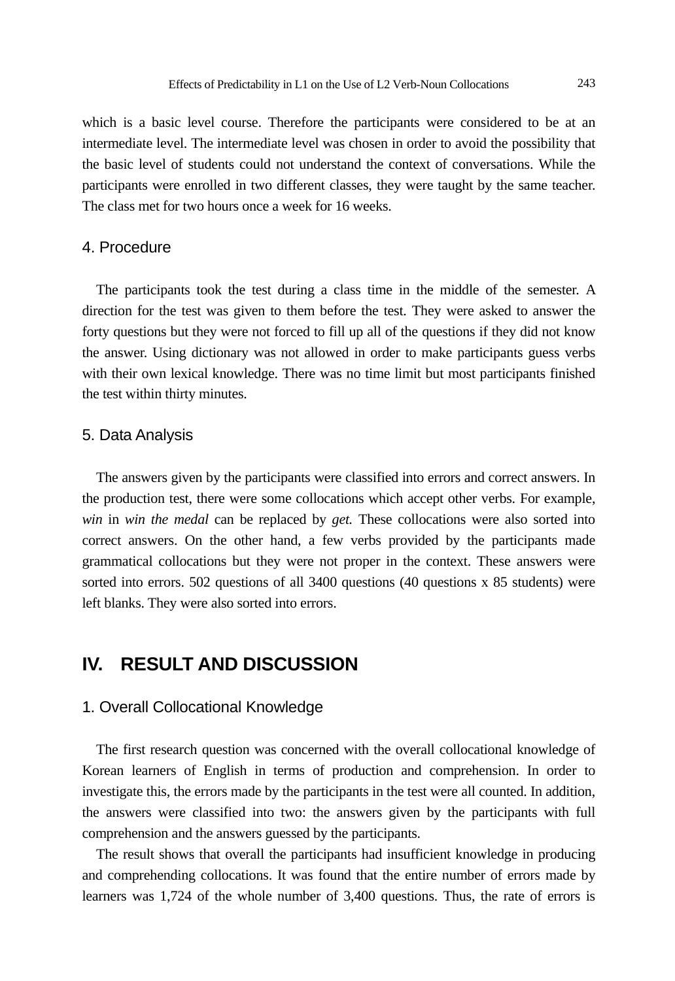which is a basic level course. Therefore the participants were considered to be at an intermediate level. The intermediate level was chosen in order to avoid the possibility that the basic level of students could not understand the context of conversations. While the participants were enrolled in two different classes, they were taught by the same teacher. The class met for two hours once a week for 16 weeks.

### 4. Procedure

The participants took the test during a class time in the middle of the semester. A direction for the test was given to them before the test. They were asked to answer the forty questions but they were not forced to fill up all of the questions if they did not know the answer. Using dictionary was not allowed in order to make participants guess verbs with their own lexical knowledge. There was no time limit but most participants finished the test within thirty minutes.

### 5. Data Analysis

The answers given by the participants were classified into errors and correct answers. In the production test, there were some collocations which accept other verbs. For example, *win* in *win the medal* can be replaced by *get.* These collocations were also sorted into correct answers. On the other hand, a few verbs provided by the participants made grammatical collocations but they were not proper in the context. These answers were sorted into errors. 502 questions of all 3400 questions (40 questions x 85 students) were left blanks. They were also sorted into errors.

## **IV. RESULT AND DISCUSSION**

#### 1. Overall Collocational Knowledge

The first research question was concerned with the overall collocational knowledge of Korean learners of English in terms of production and comprehension. In order to investigate this, the errors made by the participants in the test were all counted. In addition, the answers were classified into two: the answers given by the participants with full comprehension and the answers guessed by the participants.

The result shows that overall the participants had insufficient knowledge in producing and comprehending collocations. It was found that the entire number of errors made by learners was 1,724 of the whole number of 3,400 questions. Thus, the rate of errors is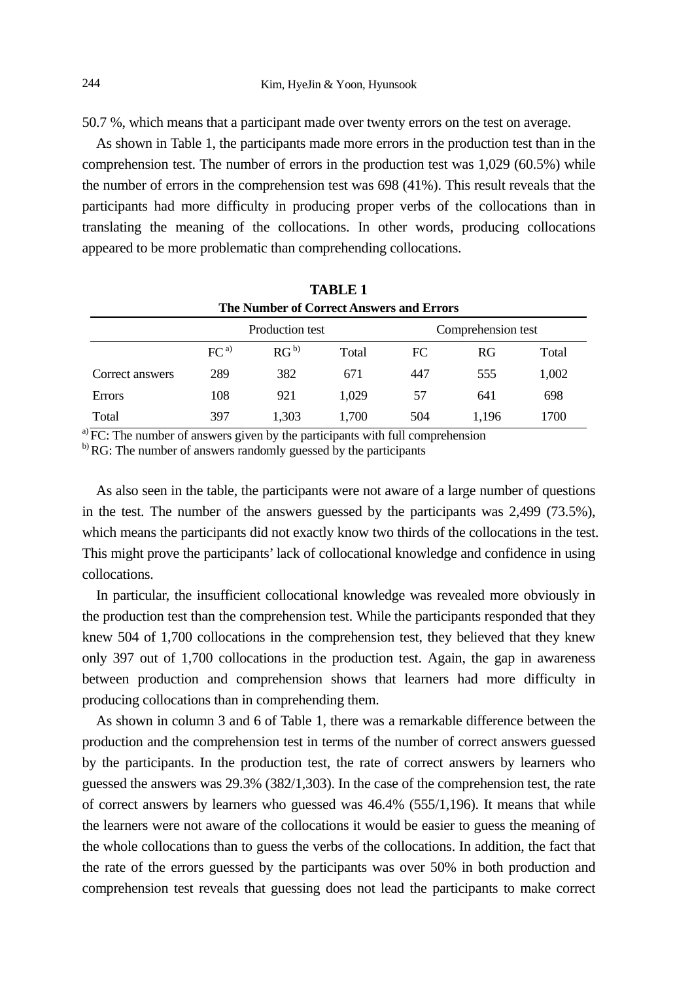50.7 %, which means that a participant made over twenty errors on the test on average.

As shown in Table 1, the participants made more errors in the production test than in the comprehension test. The number of errors in the production test was 1,029 (60.5%) while the number of errors in the comprehension test was 698 (41%). This result reveals that the participants had more difficulty in producing proper verbs of the collocations than in translating the meaning of the collocations. In other words, producing collocations appeared to be more problematic than comprehending collocations.

| <b>TABLE 1</b><br>The Number of Correct Answers and Errors |                 |                 |       |                    |       |       |  |  |
|------------------------------------------------------------|-----------------|-----------------|-------|--------------------|-------|-------|--|--|
|                                                            |                 | Production test |       | Comprehension test |       |       |  |  |
|                                                            | FC <sup>a</sup> | $RG^{b}$        | Total | FC                 | RG    | Total |  |  |
| Correct answers                                            | 289             | 382             | 671   | 447                | 555   | 1,002 |  |  |
| Errors                                                     | 108             | 921             | 1.029 | 57                 | 641   | 698   |  |  |
| Total                                                      | 397             | 1.303           | 1.700 | 504                | 1.196 | 1700  |  |  |

 $a)$  FC: The number of answers given by the participants with full comprehension

b) RG: The number of answers randomly guessed by the participants

As also seen in the table, the participants were not aware of a large number of questions in the test. The number of the answers guessed by the participants was 2,499 (73.5%), which means the participants did not exactly know two thirds of the collocations in the test. This might prove the participants' lack of collocational knowledge and confidence in using collocations.

In particular, the insufficient collocational knowledge was revealed more obviously in the production test than the comprehension test. While the participants responded that they knew 504 of 1,700 collocations in the comprehension test, they believed that they knew only 397 out of 1,700 collocations in the production test. Again, the gap in awareness between production and comprehension shows that learners had more difficulty in producing collocations than in comprehending them.

As shown in column 3 and 6 of Table 1, there was a remarkable difference between the production and the comprehension test in terms of the number of correct answers guessed by the participants. In the production test, the rate of correct answers by learners who guessed the answers was 29.3% (382/1,303). In the case of the comprehension test, the rate of correct answers by learners who guessed was 46.4% (555/1,196). It means that while the learners were not aware of the collocations it would be easier to guess the meaning of the whole collocations than to guess the verbs of the collocations. In addition, the fact that the rate of the errors guessed by the participants was over 50% in both production and comprehension test reveals that guessing does not lead the participants to make correct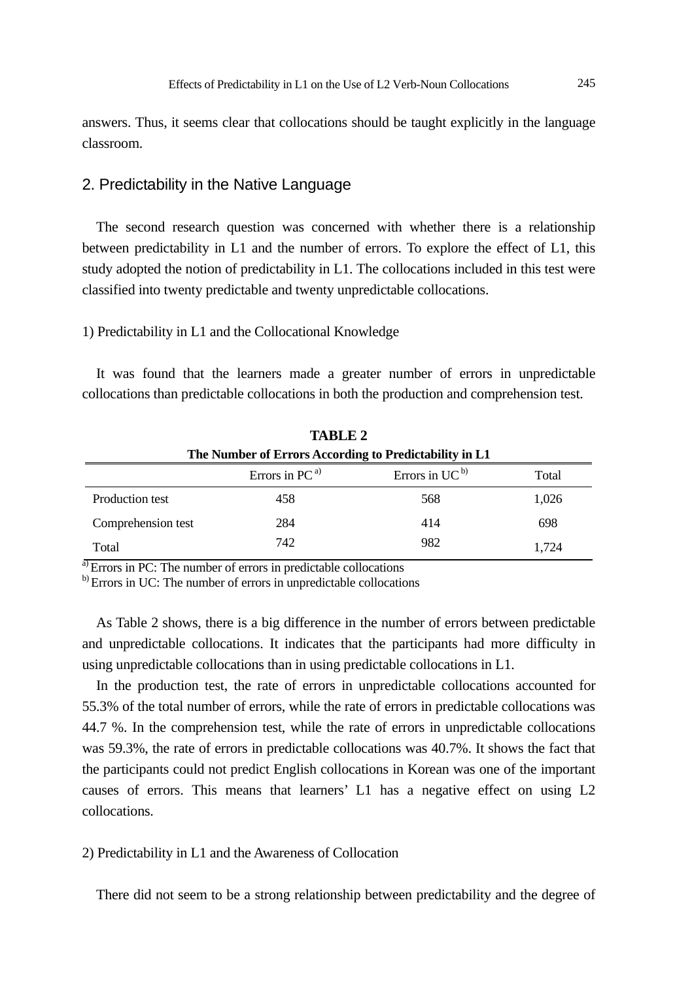answers. Thus, it seems clear that collocations should be taught explicitly in the language classroom.

### 2. Predictability in the Native Language

The second research question was concerned with whether there is a relationship between predictability in L1 and the number of errors. To explore the effect of L1, this study adopted the notion of predictability in L1. The collocations included in this test were classified into twenty predictable and twenty unpredictable collocations.

### 1) Predictability in L1 and the Collocational Knowledge

It was found that the learners made a greater number of errors in unpredictable collocations than predictable collocations in both the production and comprehension test.

| <b>TABLE 2</b>                                         |                     |                               |       |  |  |  |  |  |
|--------------------------------------------------------|---------------------|-------------------------------|-------|--|--|--|--|--|
| The Number of Errors According to Predictability in L1 |                     |                               |       |  |  |  |  |  |
|                                                        | Errors in $PC^{a)}$ | Errors in $UC^{\mathfrak{b}}$ | Total |  |  |  |  |  |
| Production test                                        | 458                 | 568                           | 1,026 |  |  |  |  |  |
| Comprehension test                                     | 284                 | 414                           | 698   |  |  |  |  |  |
| Total                                                  | 742                 | 982                           | 1.724 |  |  |  |  |  |

<sup>a)</sup> Errors in PC: The number of errors in predictable collocations

b) Errors in UC: The number of errors in unpredictable collocations

As Table 2 shows, there is a big difference in the number of errors between predictable and unpredictable collocations. It indicates that the participants had more difficulty in using unpredictable collocations than in using predictable collocations in L1.

In the production test, the rate of errors in unpredictable collocations accounted for 55.3% of the total number of errors, while the rate of errors in predictable collocations was 44.7 %. In the comprehension test, while the rate of errors in unpredictable collocations was 59.3%, the rate of errors in predictable collocations was 40.7%. It shows the fact that the participants could not predict English collocations in Korean was one of the important causes of errors. This means that learners' L1 has a negative effect on using L2 collocations.

2) Predictability in L1 and the Awareness of Collocation

There did not seem to be a strong relationship between predictability and the degree of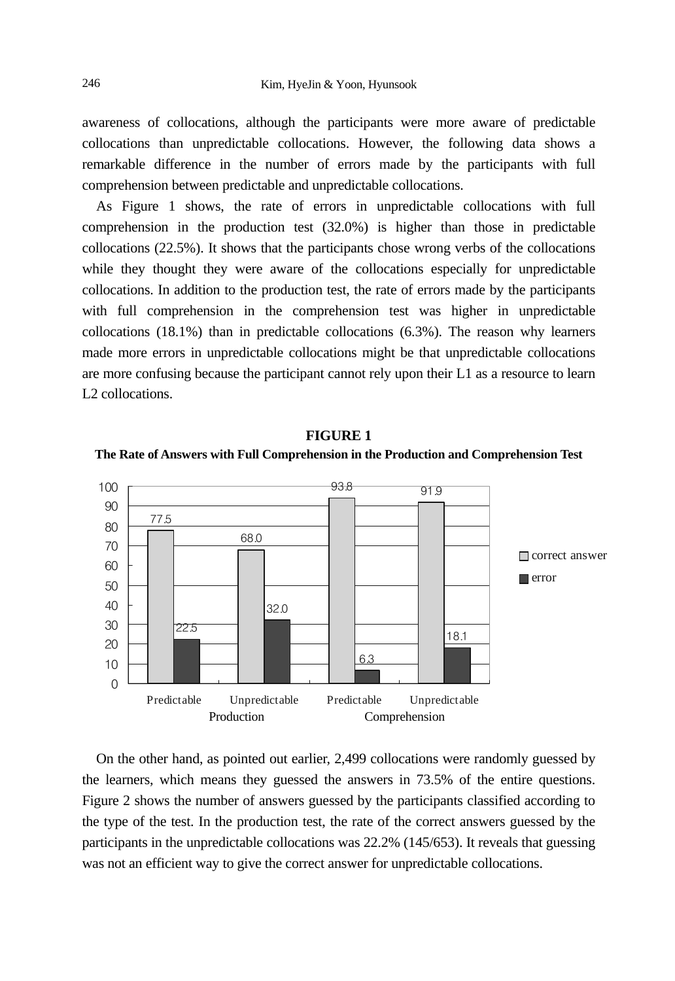awareness of collocations, although the participants were more aware of predictable collocations than unpredictable collocations. However, the following data shows a remarkable difference in the number of errors made by the participants with full comprehension between predictable and unpredictable collocations.

As Figure 1 shows, the rate of errors in unpredictable collocations with full comprehension in the production test (32.0%) is higher than those in predictable collocations (22.5%). It shows that the participants chose wrong verbs of the collocations while they thought they were aware of the collocations especially for unpredictable collocations. In addition to the production test, the rate of errors made by the participants with full comprehension in the comprehension test was higher in unpredictable collocations (18.1%) than in predictable collocations (6.3%). The reason why learners made more errors in unpredictable collocations might be that unpredictable collocations are more confusing because the participant cannot rely upon their L1 as a resource to learn L<sub>2</sub> collocations.



**FIGURE 1 The Rate of Answers with Full Comprehension in the Production and Comprehension Test** 

On the other hand, as pointed out earlier, 2,499 collocations were randomly guessed by the learners, which means they guessed the answers in 73.5% of the entire questions. Figure 2 shows the number of answers guessed by the participants classified according to the type of the test. In the production test, the rate of the correct answers guessed by the participants in the unpredictable collocations was 22.2% (145/653). It reveals that guessing was not an efficient way to give the correct answer for unpredictable collocations.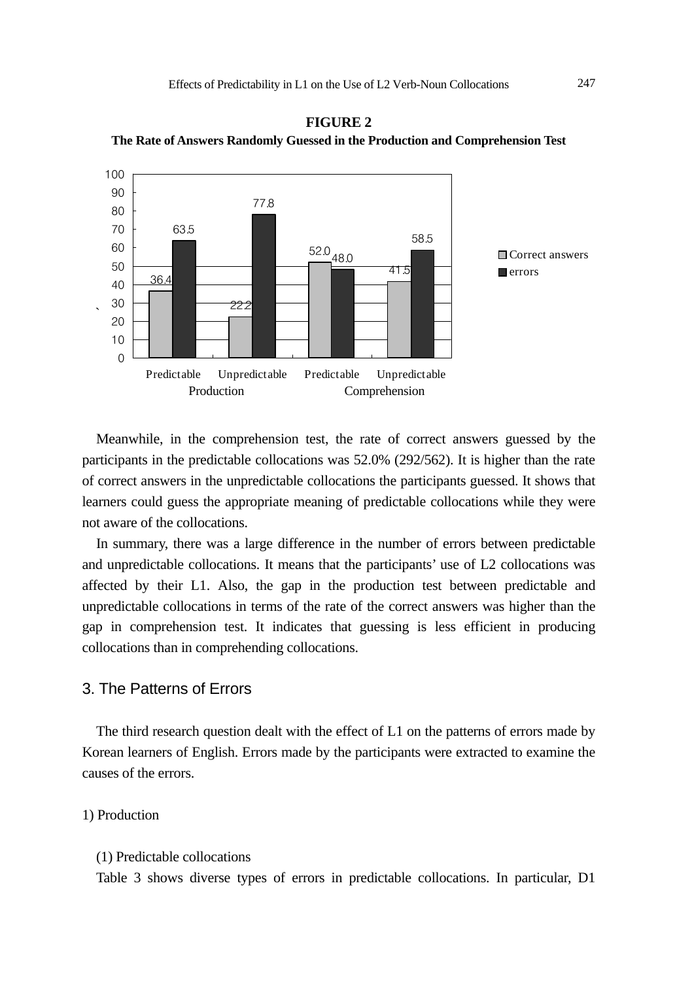

**FIGURE 2 The Rate of Answers Randomly Guessed in the Production and Comprehension Test** 

Meanwhile, in the comprehension test, the rate of correct answers guessed by the participants in the predictable collocations was 52.0% (292/562). It is higher than the rate of correct answers in the unpredictable collocations the participants guessed. It shows that learners could guess the appropriate meaning of predictable collocations while they were not aware of the collocations.

In summary, there was a large difference in the number of errors between predictable and unpredictable collocations. It means that the participants' use of L2 collocations was affected by their L1. Also, the gap in the production test between predictable and unpredictable collocations in terms of the rate of the correct answers was higher than the gap in comprehension test. It indicates that guessing is less efficient in producing collocations than in comprehending collocations.

## 3. The Patterns of Errors

The third research question dealt with the effect of L1 on the patterns of errors made by Korean learners of English. Errors made by the participants were extracted to examine the causes of the errors.

### 1) Production

#### (1) Predictable collocations

Table 3 shows diverse types of errors in predictable collocations. In particular, D1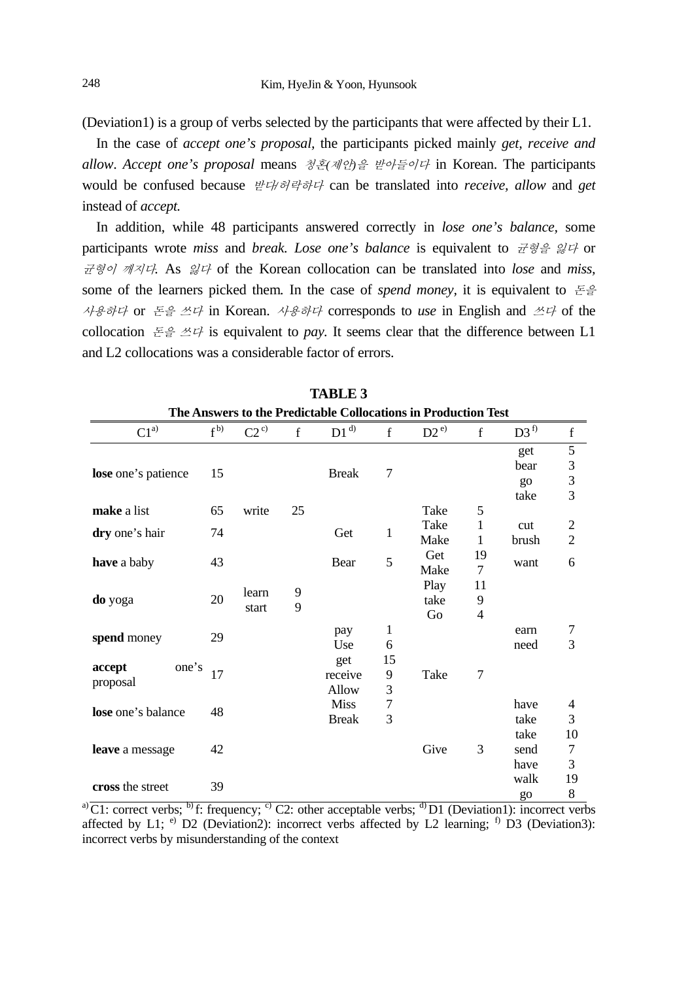(Deviation1) is a group of verbs selected by the participants that were affected by their L1.

In the case of *accept one's proposal,* the participants picked mainly *get, receive and allow*. *Accept one's proposal* means 청혼*(*제안*)*을 받아들이다 in Korean. The participants would be confused because 받다*/*허락하다 can be translated into *receive, allow* and *get*  instead of *accept.*

In addition, while 48 participants answered correctly in *lose one's balance,* some participants wrote *miss* and *break. Lose one's balance* is equivalent to 균형을 잃다 or 균형이 깨지다*.* As 잃다 of the Korean collocation can be translated into *lose* and *miss,* some of the learners picked them*.* In the case of *spend money,* it is equivalent to 돈을 사용하다 or 돈을 쓰다 in Korean. 사용하다 corresponds to *use* in English and 쓰다 of the collocation  $\mathbb{E} \oplus \mathbb{Z} \neq \mathbb{Z}$  is equivalent to *pay*. It seems clear that the difference between L1 and L2 collocations was a considerable factor of errors.

| The Answers to the Predictable Collocations in Production Test |           |          |    |              |    |          |                |                 |                |  |
|----------------------------------------------------------------|-----------|----------|----|--------------|----|----------|----------------|-----------------|----------------|--|
| $C1^{a)}$                                                      | $f^{(b)}$ | $C2^{c}$ | f  | $D1^{d}$     | f  | $D2^{e}$ | f              | D3 <sup>f</sup> | $\mathbf f$    |  |
|                                                                |           |          |    |              |    |          |                | get             | 5              |  |
| lose one's patience                                            | 15        |          |    | <b>Break</b> | 7  |          |                | bear            | 3              |  |
|                                                                |           |          |    |              |    |          |                | $g_{0}$         | 3              |  |
|                                                                |           |          |    |              |    |          |                | take            | 3              |  |
| make a list                                                    | 65        | write    | 25 |              |    | Take     | 5              |                 |                |  |
| dry one's hair                                                 | 74        |          |    | Get          | 1  | Take     | $\mathbf{1}$   | cut             | 2              |  |
|                                                                |           |          |    |              |    | Make     | 1              | brush           | $\overline{2}$ |  |
| <b>have</b> a baby                                             | 43        |          |    | Bear         | 5  | Get      | 19             | want            | 6              |  |
|                                                                |           |          |    |              |    | Make     | $\tau$         |                 |                |  |
|                                                                |           | learn    | 9  |              |    | Play     | 11             |                 |                |  |
| do yoga                                                        | 20        | start    | 9  |              |    | take     | 9              |                 |                |  |
|                                                                |           |          |    |              |    | Go       | $\overline{4}$ |                 |                |  |
| spend money                                                    | 29        |          |    | pay          | 1  |          |                | earn            | 7              |  |
|                                                                |           |          |    | Use          | 6  |          |                | need            | 3              |  |
| one's<br>accept                                                |           |          |    | get          | 15 |          |                |                 |                |  |
| proposal                                                       | 17        |          |    | receive      | 9  | Take     | $\tau$         |                 |                |  |
|                                                                |           |          |    | Allow        | 3  |          |                |                 |                |  |
| lose one's balance                                             | 48        |          |    | <b>Miss</b>  | 7  |          |                | have            | 4              |  |
|                                                                |           |          |    | <b>Break</b> | 3  |          |                | take            | 3              |  |
| leave a message                                                |           |          |    |              |    |          |                | take            | 10             |  |
|                                                                | 42        |          |    |              |    | Give     | 3<br>send      | 7               |                |  |
|                                                                |           |          |    |              |    |          |                | have            | 3              |  |
| cross the street                                               | 39        |          |    |              |    |          |                | walk            | 19             |  |
|                                                                |           |          |    |              |    |          |                | go              | 8              |  |

**TABLE 3** 

a)  $\overline{C}$ 1: correct verbs; <sup>b</sup>) f: frequency; <sup>c)</sup> C2: other acceptable verbs; <sup>d</sup>) D1 (Deviation1): incorrect verbs affected by L1;  $e$ ) D2 (Deviation2): incorrect verbs affected by L2 learning;  $f$  D3 (Deviation3): incorrect verbs by misunderstanding of the context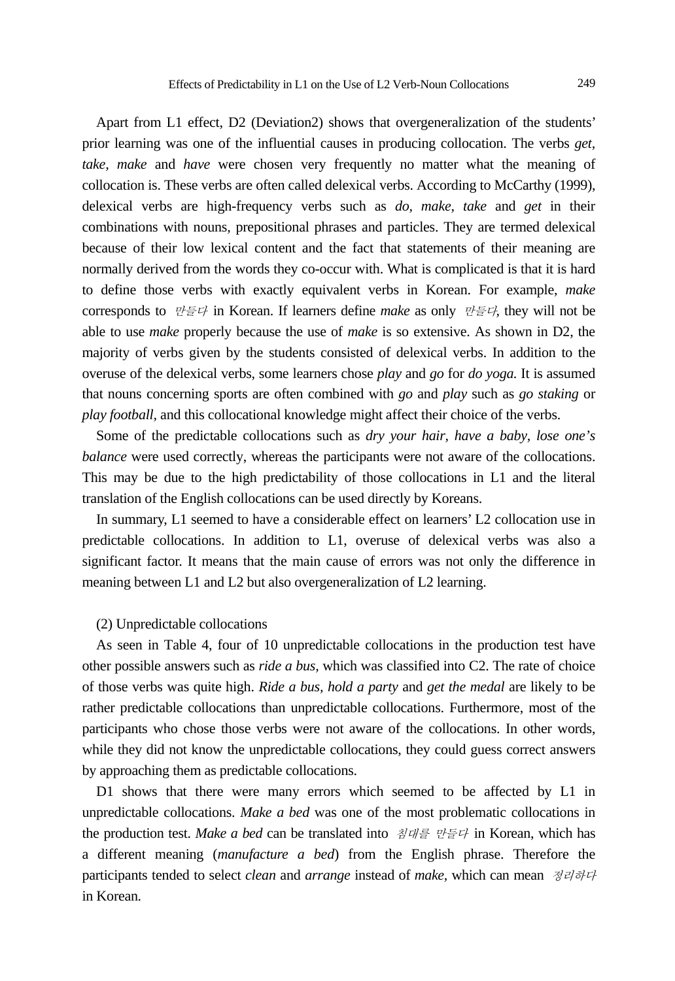Apart from L1 effect, D2 (Deviation2) shows that overgeneralization of the students' prior learning was one of the influential causes in producing collocation. The verbs *get, take, make* and *have* were chosen very frequently no matter what the meaning of collocation is. These verbs are often called delexical verbs. According to McCarthy (1999), delexical verbs are high-frequency verbs such as *do, make, take* and *get* in their combinations with nouns, prepositional phrases and particles. They are termed delexical because of their low lexical content and the fact that statements of their meaning are normally derived from the words they co-occur with. What is complicated is that it is hard to define those verbs with exactly equivalent verbs in Korean. For example, *make*  corresponds to 만들다 in Korean. If learners define *make* as only 만들다*,* they will not be able to use *make* properly because the use of *make* is so extensive. As shown in D2, the majority of verbs given by the students consisted of delexical verbs. In addition to the overuse of the delexical verbs, some learners chose *play* and *go* for *do yoga.* It is assumed that nouns concerning sports are often combined with *go* and *play* such as *go staking* or *play football,* and this collocational knowledge might affect their choice of the verbs.

Some of the predictable collocations such as *dry your hair, have a baby, lose one's balance* were used correctly, whereas the participants were not aware of the collocations. This may be due to the high predictability of those collocations in L1 and the literal translation of the English collocations can be used directly by Koreans.

In summary, L1 seemed to have a considerable effect on learners' L2 collocation use in predictable collocations. In addition to L1, overuse of delexical verbs was also a significant factor. It means that the main cause of errors was not only the difference in meaning between L1 and L2 but also overgeneralization of L2 learning.

#### (2) Unpredictable collocations

As seen in Table 4, four of 10 unpredictable collocations in the production test have other possible answers such as *ride a bus,* which was classified into C2. The rate of choice of those verbs was quite high. *Ride a bus, hold a party* and *get the medal* are likely to be rather predictable collocations than unpredictable collocations. Furthermore, most of the participants who chose those verbs were not aware of the collocations. In other words, while they did not know the unpredictable collocations, they could guess correct answers by approaching them as predictable collocations.

D1 shows that there were many errors which seemed to be affected by L1 in unpredictable collocations. *Make a bed* was one of the most problematic collocations in the production test. *Make a bed* can be translated into 침대를 만들다 in Korean, which has a different meaning (*manufacture a bed*) from the English phrase. Therefore the participants tended to select *clean* and *arrange* instead of *make,* which can mean 정리하다 in Korean*.*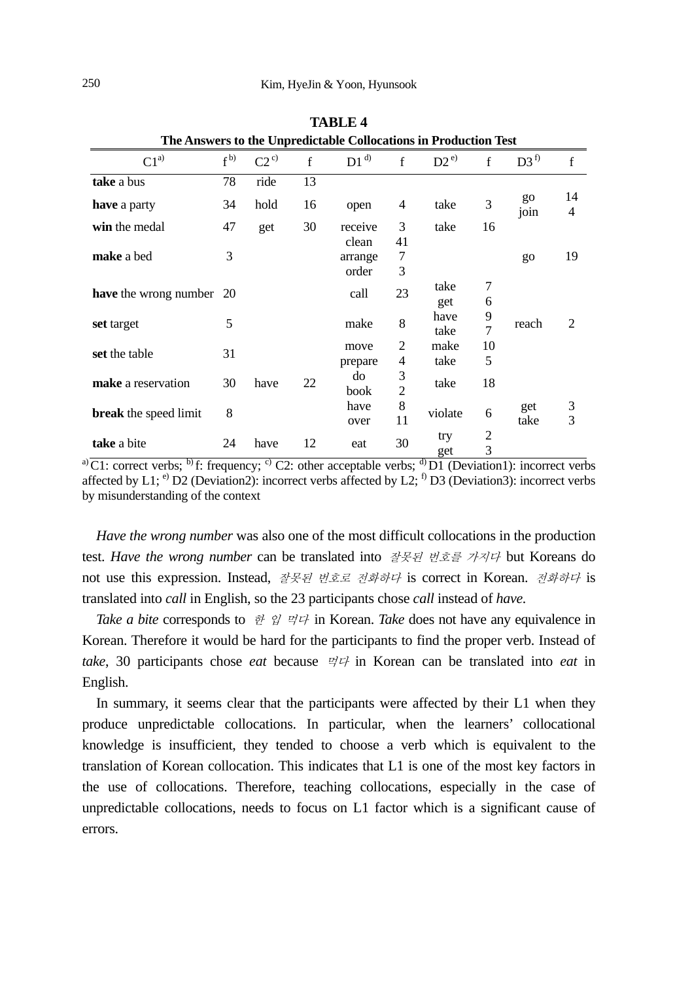| The Answers to the Unpredictable Collocations in Production Test |           |          |             |                           |                     |              |                     |                 |         |
|------------------------------------------------------------------|-----------|----------|-------------|---------------------------|---------------------|--------------|---------------------|-----------------|---------|
| $C1^{a)}$                                                        | $f^{(b)}$ | $C2^{c}$ | $\mathbf f$ | $D1^{d}$                  | $\mathbf{f}$        | $D2^{e}$     | f                   | D3 <sup>f</sup> | f       |
| take a bus                                                       | 78        | ride     | 13          |                           |                     |              |                     |                 |         |
| <b>have</b> a party                                              | 34        | hold     | 16          | open                      | 4                   | take         | 3                   | go<br>join      | 14<br>4 |
| win the medal                                                    | 47        | get      | 30          | receive                   | 3                   | take         | 16                  |                 |         |
| make a bed                                                       | 3         |          |             | clean<br>arrange<br>order | 41<br>7<br>3        |              |                     | go              | 19      |
| <b>have</b> the wrong number 20                                  |           |          |             | call                      | 23                  | take<br>get  | 7<br>6              |                 |         |
| set target                                                       | 5         |          |             | make                      | 8                   | have<br>take | 9<br>$\overline{7}$ | reach           | 2       |
| set the table                                                    | 31        |          |             | move                      | $\overline{c}$      | make         | 10                  |                 |         |
|                                                                  |           |          |             | prepare                   | 4                   | take         | 5                   |                 |         |
| make a reservation                                               | 30        | have     | 22          | do<br>book                | 3<br>$\overline{c}$ | take         | 18                  |                 |         |
| <b>break</b> the speed limit                                     | 8         |          |             | have<br>over              | 8<br>11             | violate      | 6                   | get<br>take     | 3<br>3  |
| take a bite                                                      | 24        | have     | 12          | eat                       | 30                  | try<br>get   | 2<br>3              |                 |         |

**TABLE 4** 

a) C1: correct verbs; <sup>b)</sup> f: frequency; <sup>c)</sup> C2: other acceptable verbs; <sup>d)</sup> D1 (Deviation1): incorrect verbs affected by L1; <sup>e)</sup> D2 (Deviation2): incorrect verbs affected by L2; <sup>f)</sup> D3 (Deviation3): incorrect verbs by misunderstanding of the context

*Have the wrong number* was also one of the most difficult collocations in the production test. *Have the wrong number* can be translated into 잘못된 번호를 가지다 but Koreans do not use this expression. Instead, 잘못된 번호로 전화하다 is correct in Korean. 전화하다 is translated into *call* in English, so the 23 participants chose *call* instead of *have.*

*Take a bite* corresponds to 한 입 먹다 in Korean. *Take* does not have any equivalence in Korean. Therefore it would be hard for the participants to find the proper verb. Instead of *take*, 30 participants chose *eat* because  $\forall \forall$  in Korean can be translated into *eat* in English.

In summary, it seems clear that the participants were affected by their L1 when they produce unpredictable collocations. In particular, when the learners' collocational knowledge is insufficient, they tended to choose a verb which is equivalent to the translation of Korean collocation. This indicates that L1 is one of the most key factors in the use of collocations. Therefore, teaching collocations, especially in the case of unpredictable collocations, needs to focus on L1 factor which is a significant cause of errors.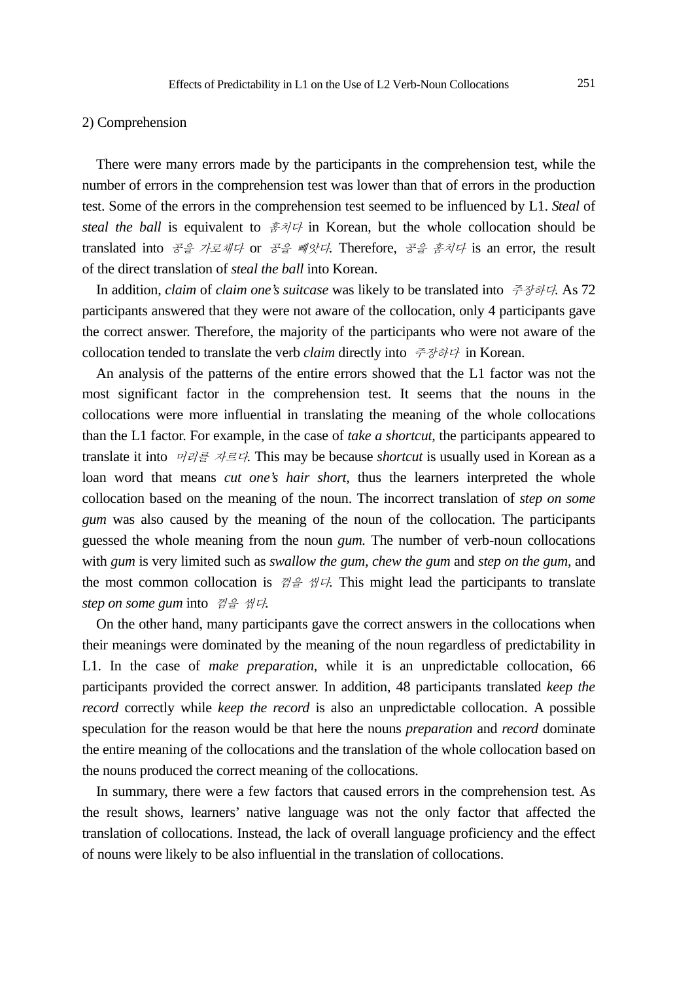### 2) Comprehension

There were many errors made by the participants in the comprehension test, while the number of errors in the comprehension test was lower than that of errors in the production test. Some of the errors in the comprehension test seemed to be influenced by L1. *Steal* of *steal the ball* is equivalent to  $\frac{\partial^2 \mathcal{A}}{\partial x^2}$  in Korean, but the whole collocation should be translated into 공을 가로채다 or 공을 빼앗다*.* Therefore, 공을 훔치다 is an error, the result of the direct translation of *steal the ball* into Korean.

In addition, *claim* of *claim one's suitcase* was likely to be translated into 주장하다*.* As 72 participants answered that they were not aware of the collocation, only 4 participants gave the correct answer. Therefore, the majority of the participants who were not aware of the collocation tended to translate the verb *claim* directly into 주장하다 in Korean.

An analysis of the patterns of the entire errors showed that the L1 factor was not the most significant factor in the comprehension test. It seems that the nouns in the collocations were more influential in translating the meaning of the whole collocations than the L1 factor. For example, in the case of *take a shortcut,* the participants appeared to translate it into 머리를 자르다*.* This may be because *shortcut* is usually used in Korean as a loan word that means *cut one's hair short,* thus the learners interpreted the whole collocation based on the meaning of the noun. The incorrect translation of *step on some gum* was also caused by the meaning of the noun of the collocation. The participants guessed the whole meaning from the noun *gum.* The number of verb-noun collocations with *gum* is very limited such as *swallow the gum, chew the gum* and *step on the gum,* and the most common collocation is  $\mathcal{A}^{\oplus}_{\sigma} \mathcal{A}^{\oplus}$ . This might lead the participants to translate *step on some gum* into 껌을 씹다*.*

On the other hand, many participants gave the correct answers in the collocations when their meanings were dominated by the meaning of the noun regardless of predictability in L1. In the case of *make preparation,* while it is an unpredictable collocation, 66 participants provided the correct answer. In addition, 48 participants translated *keep the record* correctly while *keep the record* is also an unpredictable collocation. A possible speculation for the reason would be that here the nouns *preparation* and *record* dominate the entire meaning of the collocations and the translation of the whole collocation based on the nouns produced the correct meaning of the collocations.

In summary, there were a few factors that caused errors in the comprehension test. As the result shows, learners' native language was not the only factor that affected the translation of collocations. Instead, the lack of overall language proficiency and the effect of nouns were likely to be also influential in the translation of collocations.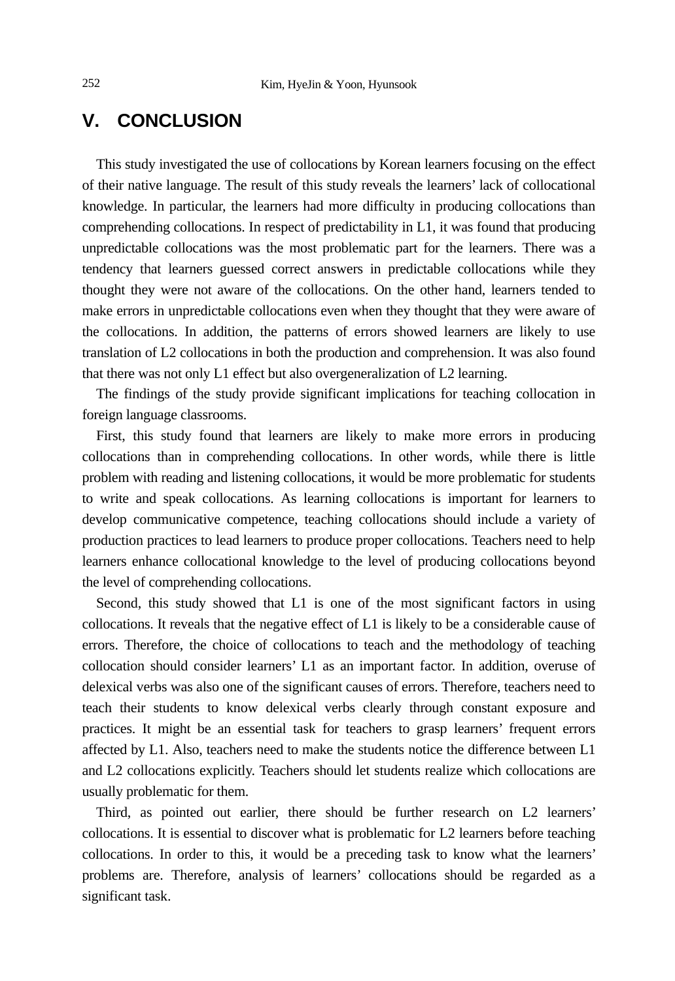# **V. CONCLUSION**

This study investigated the use of collocations by Korean learners focusing on the effect of their native language. The result of this study reveals the learners' lack of collocational knowledge. In particular, the learners had more difficulty in producing collocations than comprehending collocations. In respect of predictability in L1, it was found that producing unpredictable collocations was the most problematic part for the learners. There was a tendency that learners guessed correct answers in predictable collocations while they thought they were not aware of the collocations. On the other hand, learners tended to make errors in unpredictable collocations even when they thought that they were aware of the collocations. In addition, the patterns of errors showed learners are likely to use translation of L2 collocations in both the production and comprehension. It was also found that there was not only L1 effect but also overgeneralization of L2 learning.

The findings of the study provide significant implications for teaching collocation in foreign language classrooms.

First, this study found that learners are likely to make more errors in producing collocations than in comprehending collocations. In other words, while there is little problem with reading and listening collocations, it would be more problematic for students to write and speak collocations. As learning collocations is important for learners to develop communicative competence, teaching collocations should include a variety of production practices to lead learners to produce proper collocations. Teachers need to help learners enhance collocational knowledge to the level of producing collocations beyond the level of comprehending collocations.

Second, this study showed that L1 is one of the most significant factors in using collocations. It reveals that the negative effect of L1 is likely to be a considerable cause of errors. Therefore, the choice of collocations to teach and the methodology of teaching collocation should consider learners' L1 as an important factor. In addition, overuse of delexical verbs was also one of the significant causes of errors. Therefore, teachers need to teach their students to know delexical verbs clearly through constant exposure and practices. It might be an essential task for teachers to grasp learners' frequent errors affected by L1. Also, teachers need to make the students notice the difference between L1 and L2 collocations explicitly. Teachers should let students realize which collocations are usually problematic for them.

Third, as pointed out earlier, there should be further research on L2 learners' collocations. It is essential to discover what is problematic for L2 learners before teaching collocations. In order to this, it would be a preceding task to know what the learners' problems are. Therefore, analysis of learners' collocations should be regarded as a significant task.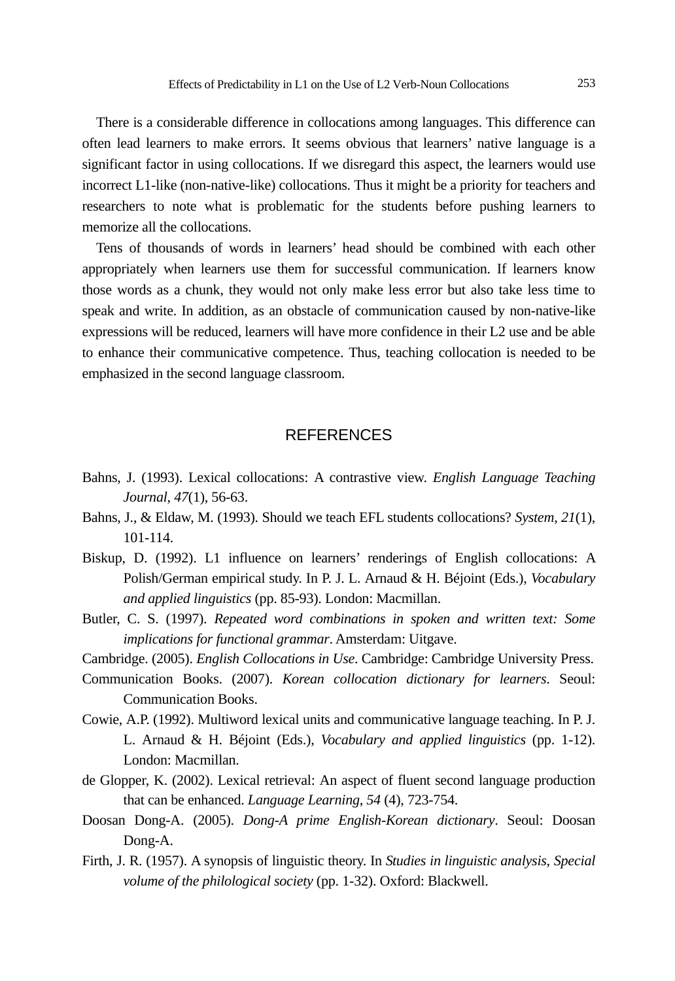There is a considerable difference in collocations among languages. This difference can often lead learners to make errors. It seems obvious that learners' native language is a significant factor in using collocations. If we disregard this aspect, the learners would use incorrect L1-like (non-native-like) collocations. Thus it might be a priority for teachers and researchers to note what is problematic for the students before pushing learners to memorize all the collocations.

Tens of thousands of words in learners' head should be combined with each other appropriately when learners use them for successful communication. If learners know those words as a chunk, they would not only make less error but also take less time to speak and write. In addition, as an obstacle of communication caused by non-native-like expressions will be reduced, learners will have more confidence in their L2 use and be able to enhance their communicative competence. Thus, teaching collocation is needed to be emphasized in the second language classroom.

## **REFERENCES**

- Bahns, J. (1993). Lexical collocations: A contrastive view. *English Language Teaching Journal*, *47*(1), 56-63.
- Bahns, J., & Eldaw, M. (1993). Should we teach EFL students collocations? *System*, *21*(1), 101-114.
- Biskup, D. (1992). L1 influence on learners' renderings of English collocations: A Polish/German empirical study. In P. J. L. Arnaud & H. Béjoint (Eds.), *Vocabulary and applied linguistics* (pp. 85-93). London: Macmillan.
- Butler, C. S. (1997). *Repeated word combinations in spoken and written text: Some implications for functional grammar*. Amsterdam: Uitgave.
- Cambridge. (2005). *English Collocations in Use*. Cambridge: Cambridge University Press.
- Communication Books. (2007). *Korean collocation dictionary for learners*. Seoul: Communication Books.
- Cowie, A.P. (1992). Multiword lexical units and communicative language teaching. In P. J. L. Arnaud & H. Béjoint (Eds.), *Vocabulary and applied linguistics* (pp. 1-12). London: Macmillan.
- de Glopper, K. (2002). Lexical retrieval: An aspect of fluent second language production that can be enhanced. *Language Learning*, *54* (4), 723-754.
- Doosan Dong-A. (2005). *Dong-A prime English-Korean dictionary*. Seoul: Doosan Dong-A.
- Firth, J. R. (1957). A synopsis of linguistic theory. In *Studies in linguistic analysis*, *Special volume of the philological society* (pp. 1-32). Oxford: Blackwell.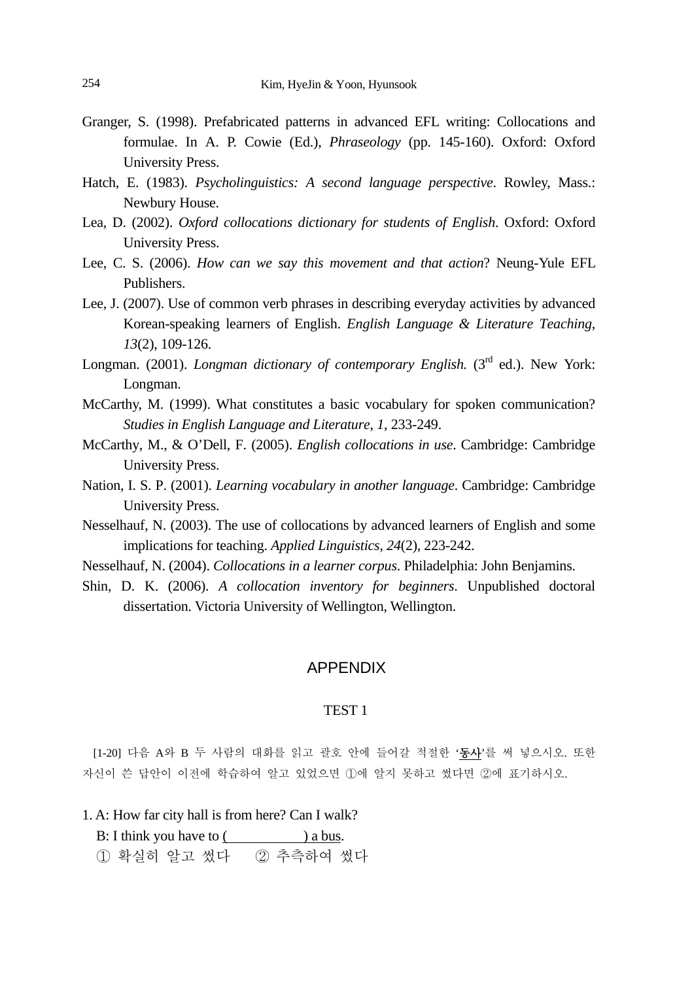- Granger, S. (1998). Prefabricated patterns in advanced EFL writing: Collocations and formulae. In A. P. Cowie (Ed.), *Phraseology* (pp. 145-160). Oxford: Oxford University Press.
- Hatch, E. (1983). *Psycholinguistics: A second language perspective*. Rowley, Mass.: Newbury House.
- Lea, D. (2002). *Oxford collocations dictionary for students of English*. Oxford: Oxford University Press.
- Lee, C. S. (2006). *How can we say this movement and that action*? Neung-Yule EFL Publishers.
- Lee, J. (2007). Use of common verb phrases in describing everyday activities by advanced Korean-speaking learners of English. *English Language & Literature Teaching*, *13*(2), 109-126.
- Longman. (2001). *Longman dictionary of contemporary English.* (3<sup>rd</sup> ed.). New York: Longman.
- McCarthy, M. (1999). What constitutes a basic vocabulary for spoken communication? *Studies in English Language and Literature*, *1*, 233-249.
- McCarthy, M., & O'Dell, F. (2005). *English collocations in use*. Cambridge: Cambridge University Press.
- Nation, I. S. P. (2001). *Learning vocabulary in another language*. Cambridge: Cambridge University Press.
- Nesselhauf, N. (2003). The use of collocations by advanced learners of English and some implications for teaching. *Applied Linguistics*, *24*(2), 223-242.
- Nesselhauf, N. (2004). *Collocations in a learner corpus*. Philadelphia: John Benjamins.
- Shin, D. K. (2006). *A collocation inventory for beginners*. Unpublished doctoral dissertation. Victoria University of Wellington, Wellington.

### APPENDIX

#### TEST 1

[1-20] 다음 A와 B 두 사람의 대화를 읽고 괄호 안에 들어갈 적절한 '동사'를 써 넣으시오. 또한 자신이 쓴 답안이 이전에 학습하여 알고 있었으면 ①에 알지 못하고 썼다면 ②에 표기하시오.

1. A: How far city hall is from here? Can I walk?

B: I think you have to () a bus.

① 확실히 알고 썼다 ② 추측하여 썼다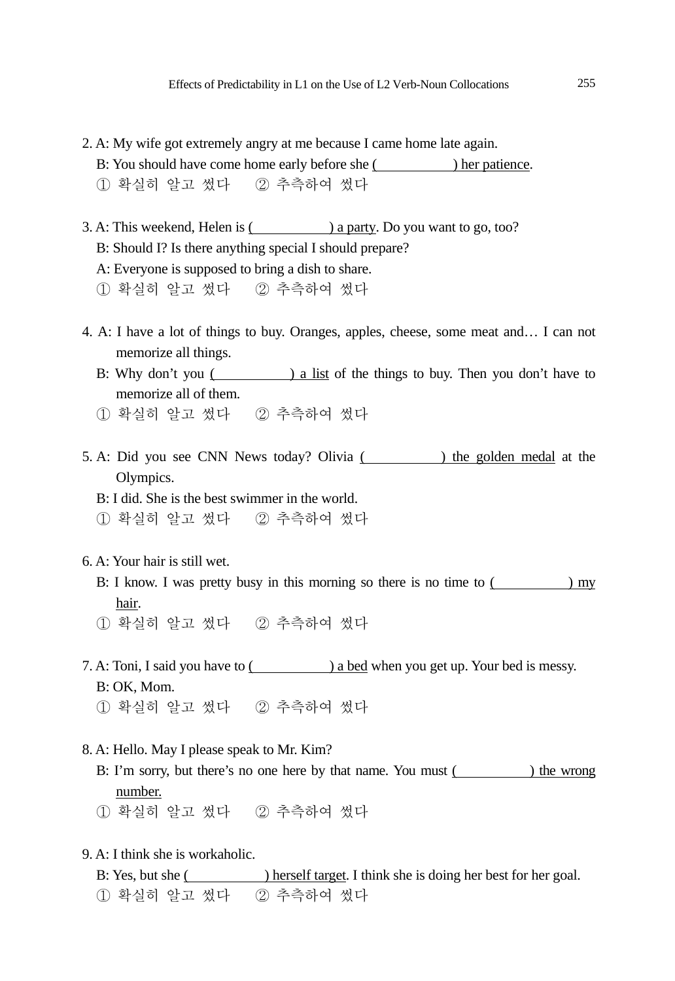- 2. A: My wife got extremely angry at me because I came home late again. B: You should have come home early before she () her patience.
	- ① 확실히 알고 썼다 ② 추측하여 썼다
- 3. A: This weekend, Helen is (2008) a party. Do you want to go, too? B: Should I? Is there anything special I should prepare? A: Everyone is supposed to bring a dish to share. ① 확실히 알고 썼다 ② 추측하여 썼다
- 4. A: I have a lot of things to buy. Oranges, apples, cheese, some meat and… I can not memorize all things.
	- B: Why don't you () a list of the things to buy. Then you don't have to memorize all of them.
	- ① 확실히 알고 썼다 ② 추측하여 썼다
- 5. A: Did you see CNN News today? Olivia ( ) the golden medal at the Olympics.
	- B: I did. She is the best swimmer in the world.
	- ① 확실히 알고 썼다 ② 추측하여 썼다
- 6. A: Your hair is still wet.
	- B: I know. I was pretty busy in this morning so there is no time to ( ) my hair.
	- ① 확실히 알고 썼다 ② 추측하여 썼다
- 7. A: Toni, I said you have to  $($  a bed when you get up. Your bed is messy. B: OK, Mom.
	- ① 확실히 알고 썼다 ② 추측하여 썼다
- 8. A: Hello. May I please speak to Mr. Kim?
	- B: I'm sorry, but there's no one here by that name. You must (Separate 2011) the wrong number.
	- ① 확실히 알고 썼다 ② 추측하여 썼다
- 9. A: I think she is workaholic.
	- B: Yes, but she ( ) herself target. I think she is doing her best for her goal. ① 확실히 알고 썼다 ② 추측하여 썼다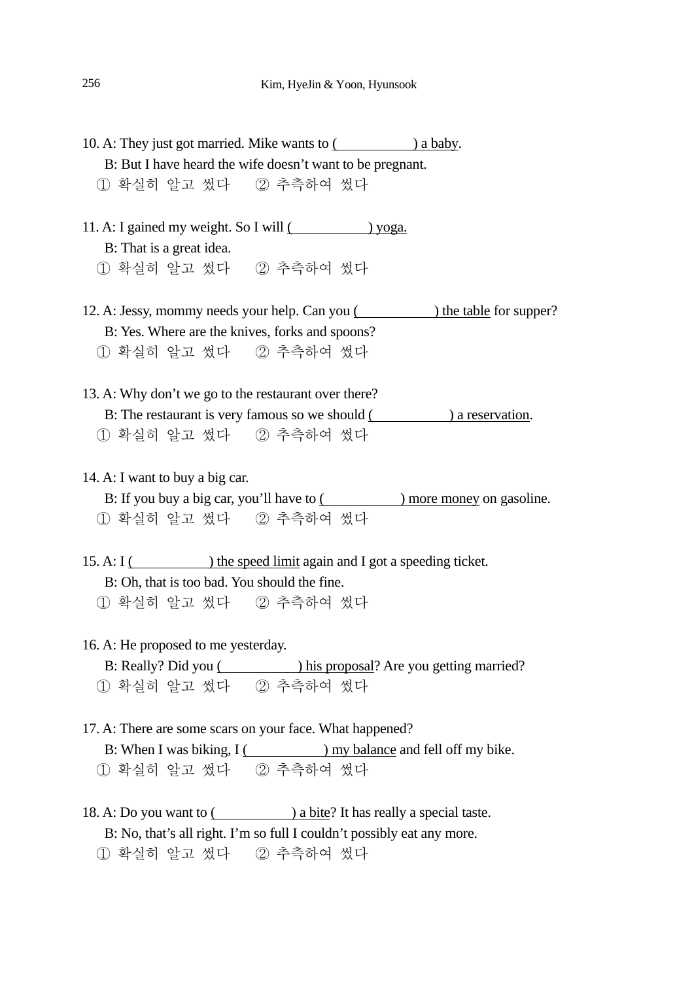- 10. A: They just got married. Mike wants to  $($ a baby. B: But I have heard the wife doesn't want to be pregnant. ① 확실히 알고 썼다 ② 추측하여 썼다
- 11. A: I gained my weight. So I will () yoga. B: That is a great idea. ① 확실히 알고 썼다 ② 추측하여 썼다
- 12. A: Jessy, mommy needs your help. Can you ( ) the table for supper? B: Yes. Where are the knives, forks and spoons? ① 확실히 알고 썼다 ② 추측하여 썼다
- 13. A: Why don't we go to the restaurant over there? B: The restaurant is very famous so we should () a reservation. ① 확실히 알고 썼다 ② 추측하여 썼다
- 14. A: I want to buy a big car.
	- B: If you buy a big car, you'll have to () more money on gasoline. ① 확실히 알고 썼다 ② 추측하여 썼다
- 15. A: I () the speed limit again and I got a speeding ticket. B: Oh, that is too bad. You should the fine. ① 확실히 알고 썼다 ② 추측하여 썼다
- 16. A: He proposed to me yesterday.
	- B: Really? Did you () his proposal? Are you getting married? ① 확실히 알고 썼다 ② 추측하여 썼다
- 17. A: There are some scars on your face. What happened? B: When I was biking, I () my balance and fell off my bike. ① 확실히 알고 썼다 ② 추측하여 썼다
- 18. A: Do you want to  $($  a bite? It has really a special taste. B: No, that's all right. I'm so full I couldn't possibly eat any more. ① 확실히 알고 썼다 ② 추측하여 썼다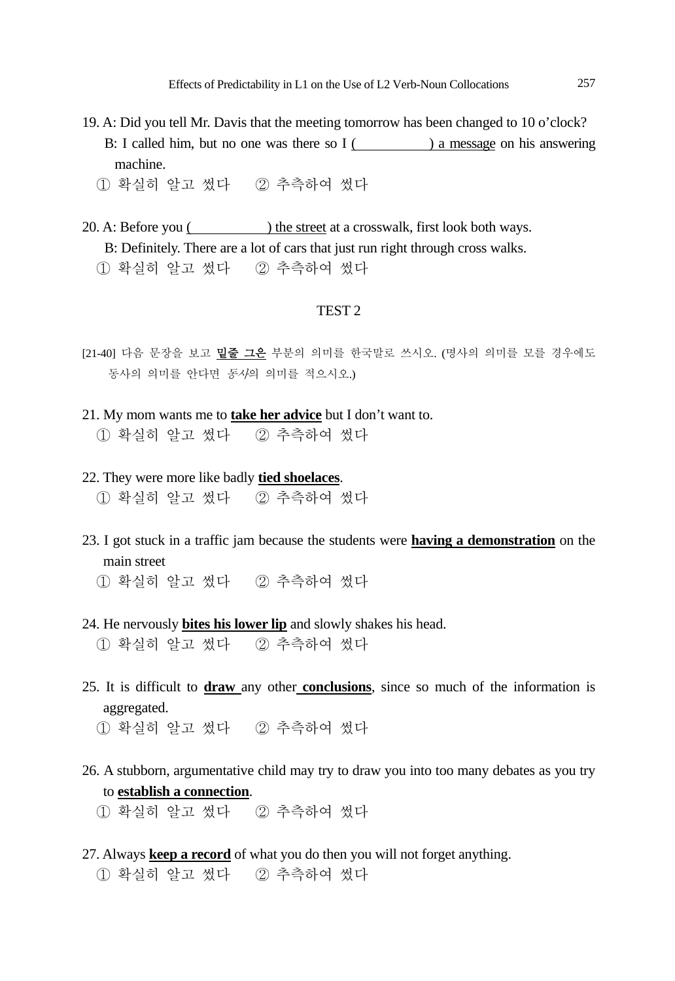- 19. A: Did you tell Mr. Davis that the meeting tomorrow has been changed to 10 o'clock? B: I called him, but no one was there so I () a message on his answering machine.
	- ① 확실히 알고 썼다 ② 추측하여 썼다
- 20. A: Before you () the street at a crosswalk, first look both ways. B: Definitely. There are a lot of cars that just run right through cross walks. ① 확실히 알고 썼다 ② 추측하여 썼다

#### TEST 2

- [21-40] 다음 문장을 보고 밑줄 그은 부분의 의미를 한국말로 쓰시오. (명사의 의미를 모를 경우에도 동사의 의미를 안다면 동사의 의미를 적으시오.)
- 21. My mom wants me to **take her advice** but I don't want to. ① 확실히 알고 썼다 ② 추측하여 썼다
- 22. They were more like badly **tied shoelaces**. ① 확실히 알고 썼다 ② 추측하여 썼다
- 23. I got stuck in a traffic jam because the students were **having a demonstration** on the main street
	- ① 확실히 알고 썼다 ② 추측하여 썼다
- 24. He nervously **bites his lower lip** and slowly shakes his head.

① 확실히 알고 썼다 ② 추측하여 썼다

- 25. It is difficult to **draw** any other **conclusions**, since so much of the information is aggregated.
	- ① 확실히 알고 썼다 ② 추측하여 썼다
- 26. A stubborn, argumentative child may try to draw you into too many debates as you try to **establish a connection**.
	- ① 확실히 알고 썼다 ② 추측하여 썼다
- 27. Always **keep a record** of what you do then you will not forget anything. ① 확실히 알고 썼다 ② 추측하여 썼다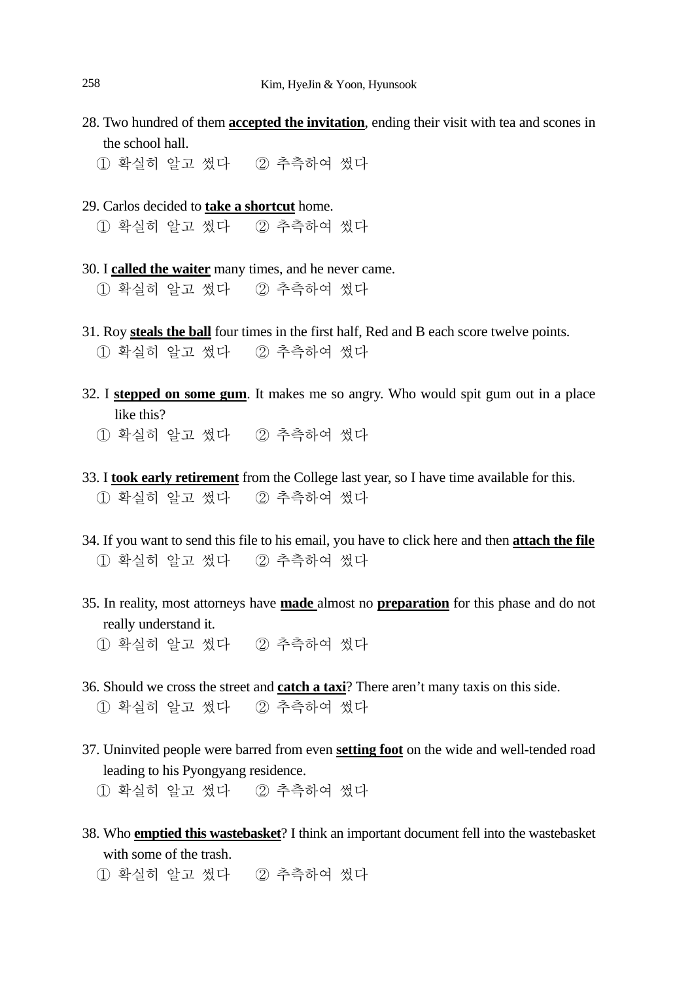- 28. Two hundred of them **accepted the invitation**, ending their visit with tea and scones in the school hall.
	- ① 확실히 알고 썼다 ② 추측하여 썼다
- 29. Carlos decided to **take a shortcut** home.

① 확실히 알고 썼다 ② 추측하여 썼다

- 30. I **called the waiter** many times, and he never came. ① 확실히 알고 썼다 ② 추측하여 썼다
- 31. Roy **steals the ball** four times in the first half, Red and B each score twelve points. ① 확실히 알고 썼다 ② 추측하여 썼다
- 32. I **stepped on some gum**. It makes me so angry. Who would spit gum out in a place like this?
	- ① 확실히 알고 썼다 ② 추측하여 썼다
- 33. I **took early retirement** from the College last year, so I have time available for this. ① 확실히 알고 썼다 ② 추측하여 썼다
- 34. If you want to send this file to his email, you have to click here and then **attach the file** ① 확실히 알고 썼다 ② 추측하여 썼다
- 35. In reality, most attorneys have **made** almost no **preparation** for this phase and do not really understand it.
	- ① 확실히 알고 썼다 ② 추측하여 썼다
- 36. Should we cross the street and **catch a taxi**? There aren't many taxis on this side. ① 확실히 알고 썼다 ② 추측하여 썼다
- 37. Uninvited people were barred from even **setting foot** on the wide and well-tended road leading to his Pyongyang residence.
	- ① 확실히 알고 썼다 ② 추측하여 썼다
- 38. Who **emptied this wastebasket**? I think an important document fell into the wastebasket with some of the trash.
	- ① 확실히 알고 썼다 ② 추측하여 썼다